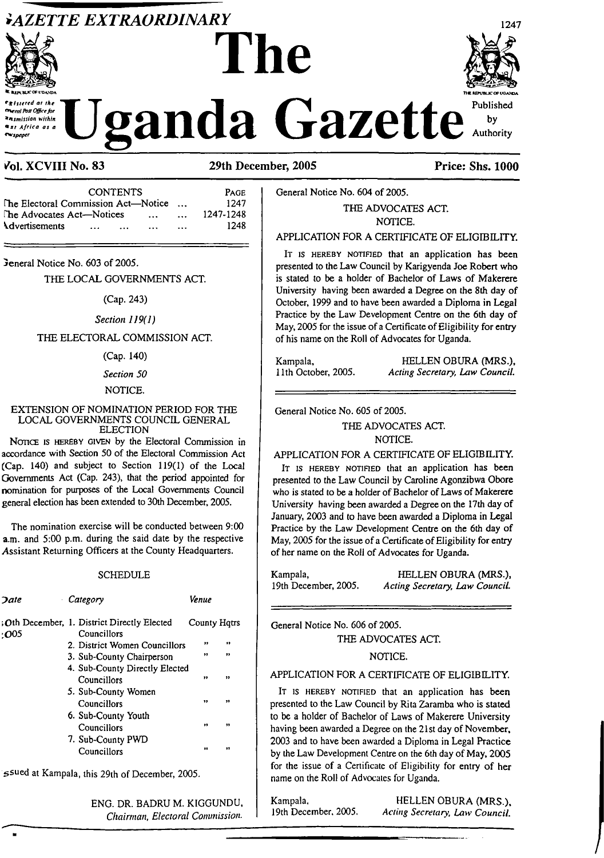## *`AZETTE EXTRAORDINARY*



stered at the

mi Post Office for

**Incontrion within** tsi Africa as a



1247 anda Gazette Published  $by$ Authority

**Price: Shs. 1000** 

### Vol. XCVIII No. 83

#### 29th December, 2005

**CONTENTS** PAGE The Electoral Commission Act-Notice 1247  $\sim$   $\sim$ The Advocates Act-Notices 1247-1248  $\ddotsc$  $\ddotsc$ **Advertisements** 1248  $\ddotsc$  $\sim$  $\ddotsc$ 

Jeneral Notice No. 603 of 2005.

#### THE LOCAL GOVERNMENTS ACT.

(Cap. 243)

Section 119(1)

#### THE ELECTORAL COMMISSION ACT.

(Cap. 140)

#### Section 50

### NOTICE.

#### EXTENSION OF NOMINATION PERIOD FOR THE LOCAL GOVERNMENTS COUNCIL GENERAL **ELECTION**

NOTICE IS HEREBY GIVEN by the Electoral Commission in accordance with Section 50 of the Electoral Commission Act (Cap. 140) and subject to Section 119(1) of the Local Governments Act (Cap. 243), that the period appointed for nomination for purposes of the Local Governments Council general election has been extended to 30th December. 2005.

The nomination exercise will be conducted between 9:00 a.m. and 5:00 p.m. during the said date by the respective Assistant Returning Officers at the County Headquarters.

#### **SCHEDULE**

| <b>Date</b><br>$\epsilon$ | Category                                                  | Venue        |              |
|---------------------------|-----------------------------------------------------------|--------------|--------------|
| ∙O05                      | Oth December, 1. District Directly Elected<br>Councillors | County Hatrs |              |
|                           | 2. District Women Councillors                             | ,,           | .,           |
|                           | 3. Sub-County Chairperson                                 | $\bullet$    | ,,           |
|                           | 4. Sub-County Directly Elected                            |              |              |
|                           | Councillors                                               | ,,           | ,,           |
|                           | 5. Sub-County Women                                       |              |              |
|                           | Councillors                                               | ,,           | ,,           |
|                           | 6. Sub-County Youth                                       |              |              |
|                           | Councillors                                               | ,,           | ,,           |
|                           | 7. Sub-County PWD                                         |              |              |
|                           | Councillors                                               | 11           | $^{\bullet}$ |
|                           |                                                           |              |              |

ssued at Kampala, this 29th of December, 2005.

ENG. DR. BADRU M. KIGGUNDU, Chairman, Electoral Commission.

General Notice No. 604 of 2005.

### THE ADVOCATES ACT. NOTICE.

#### APPLICATION FOR A CERTIFICATE OF ELIGIBILITY.

IT IS HEREBY NOTIFIED that an application has been presented to the Law Council by Karigyenda Joe Robert who is stated to be a holder of Bachelor of Laws of Makerere University having been awarded a Degree on the 8th day of October, 1999 and to have been awarded a Diploma in Legal Practice by the Law Development Centre on the 6th day of May, 2005 for the issue of a Certificate of Eligibility for entry of his name on the Roll of Advocates for Uganda.

Kampala. HELLEN OBURA (MRS.). 11th October, 2005. Acting Secretary, Law Council.

General Notice No. 605 of 2005.

#### THE ADVOCATES ACT. NOTICE.

#### APPLICATION FOR A CERTIFICATE OF ELIGIBILITY.

IT IS HEREBY NOTIFIED that an application has been presented to the Law Council by Caroline Agonzibwa Obore who is stated to be a holder of Bachelor of Laws of Makerere University having been awarded a Degree on the 17th day of January, 2003 and to have been awarded a Diploma in Legal Practice by the Law Development Centre on the 6th day of May, 2005 for the issue of a Certificate of Eligibility for entry of her name on the Roll of Advocates for Uganda.

Kampala, HELLEN OBURA (MRS.), 19th December, 2005. Acting Secretary, Law Council.

General Notice No. 606 of 2005.

THE ADVOCATES ACT.

#### NOTICE.

#### APPLICATION FOR A CERTIFICATE OF ELIGIBILITY.

IT IS HEREBY NOTIFIED that an application has been presented to the Law Council by Rita Zaramba who is stated to be a holder of Bachelor of Laws of Makerere University having been awarded a Degree on the 21st day of November, 2003 and to have been awarded a Diploma in Legal Practice by the Law Development Centre on the 6th day of May, 2005 for the issue of a Certificate of Eligibility for entry of her name on the Roll of Advocates for Uganda.

Kampala, 19th December, 2005.

HELLEN OBURA (MRS.). Acting Secretary, Law Council.